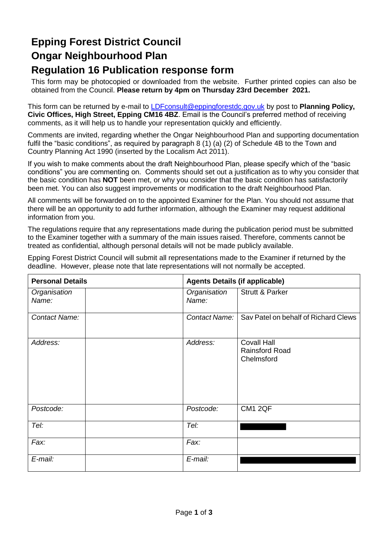### **Epping Forest District Council Ongar Neighbourhood Plan Regulation 16 Publication response form**

This form may be photocopied or downloaded from the website. Further printed copies can also be obtained from the Council. **Please return by 4pm on Thursday 23rd December 2021.**

This form can be returned by e-mail to [LDFconsult@eppingforestdc.gov.uk](mailto:LDFconsult@eppingforestdc.gov.uk) by post to **Planning Policy, Civic Offices, High Street, Epping CM16 4BZ**. Email is the Council's preferred method of receiving comments, as it will help us to handle your representation quickly and efficiently.

Comments are invited, regarding whether the Ongar Neighbourhood Plan and supporting documentation fulfil the "basic conditions", as required by paragraph 8 (1) (a) (2) of Schedule 4B to the Town and Country Planning Act 1990 (inserted by the Localism Act 2011).

If you wish to make comments about the draft Neighbourhood Plan, please specify which of the "basic conditions" you are commenting on. Comments should set out a justification as to why you consider that the basic condition has **NOT** been met, or why you consider that the basic condition has satisfactorily been met. You can also suggest improvements or modification to the draft Neighbourhood Plan.

All comments will be forwarded on to the appointed Examiner for the Plan. You should not assume that there will be an opportunity to add further information, although the Examiner may request additional information from you.

The regulations require that any representations made during the publication period must be submitted to the Examiner together with a summary of the main issues raised. Therefore, comments cannot be treated as confidential, although personal details will not be made publicly available.

Epping Forest District Council will submit all representations made to the Examiner if returned by the deadline. However, please note that late representations will not normally be accepted.

| <b>Personal Details</b> | <b>Agents Details (if applicable)</b> |                                                           |  |
|-------------------------|---------------------------------------|-----------------------------------------------------------|--|
| Organisation<br>Name:   | Organisation<br>Name:                 | <b>Strutt &amp; Parker</b>                                |  |
| Contact Name:           | Contact Name:                         | Sav Patel on behalf of Richard Clews                      |  |
| Address:                | Address:                              | <b>Covall Hall</b><br><b>Rainsford Road</b><br>Chelmsford |  |
| Postcode:               | Postcode:                             | CM1 2QF                                                   |  |
| Tel:                    | Tel:                                  |                                                           |  |
| Fax:                    | Fax:                                  |                                                           |  |
| E-mail:                 | E-mail:                               |                                                           |  |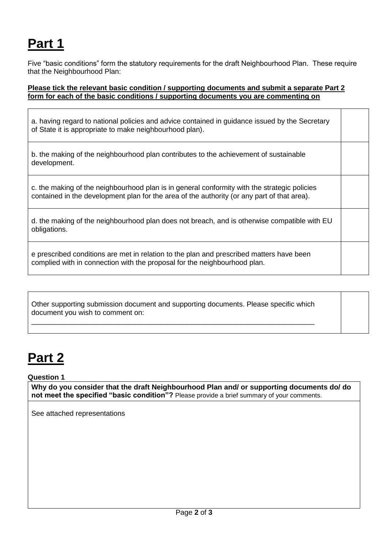# **Part 1**

Five "basic conditions" form the statutory requirements for the draft Neighbourhood Plan. These require that the Neighbourhood Plan:

### **Please tick the relevant basic condition / supporting documents and submit a separate Part 2 form for each of the basic conditions / supporting documents you are commenting on**

a. having regard to national policies and advice contained in guidance issued by the Secretary of State it is appropriate to make neighbourhood plan).

b. the making of the neighbourhood plan contributes to the achievement of sustainable development.

c. the making of the neighbourhood plan is in general conformity with the strategic policies contained in the development plan for the area of the authority (or any part of that area).

|              | d. the making of the neighbourhood plan does not breach, and is otherwise compatible with EU |  |  |  |
|--------------|----------------------------------------------------------------------------------------------|--|--|--|
| obligations. |                                                                                              |  |  |  |

e prescribed conditions are met in relation to the plan and prescribed matters have been complied with in connection with the proposal for the neighbourhood plan.

| Other supporting submission document and supporting documents. Please specific which |  |
|--------------------------------------------------------------------------------------|--|
| document you wish to comment on:                                                     |  |
|                                                                                      |  |

# **Part 2**

**Question 1**

**Why do you consider that the draft Neighbourhood Plan and/ or supporting documents do/ do not meet the specified "basic condition"?** Please provide a brief summary of your comments.

See attached representations